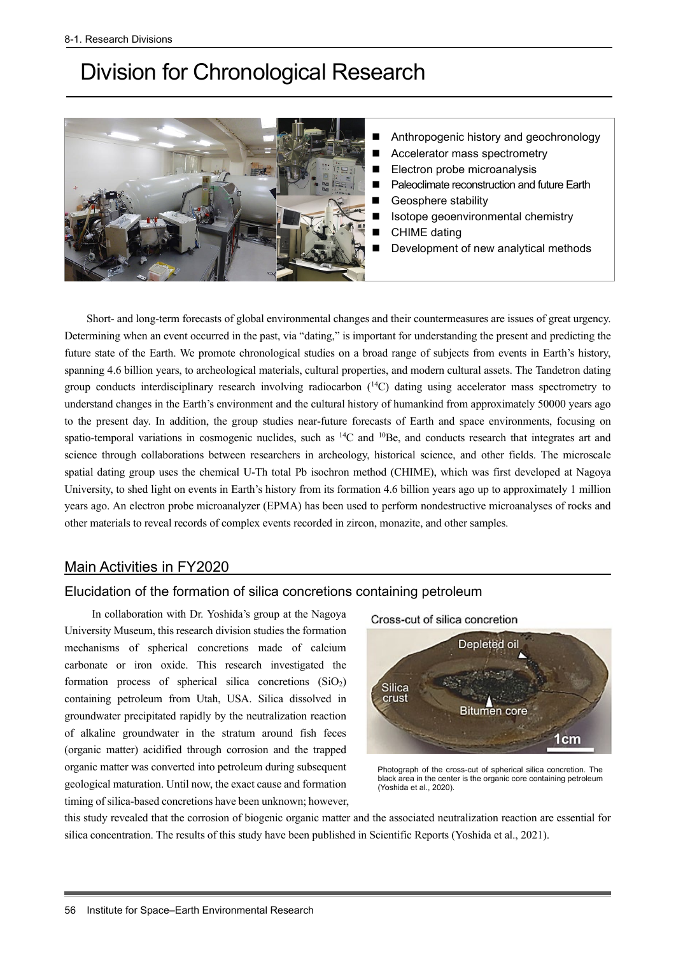# Division for Chronological Research



- Anthropogenic history and geochronology
- Accelerator mass spectrometry
- Electron probe microanalysis
- Paleoclimate reconstruction and future Earth
- Geosphere stability
- Isotope geoenvironmental chemistry
- CHIME dating
- Development of new analytical methods

Short- and long-term forecasts of global environmental changes and their countermeasures are issues of great urgency. Determining when an event occurred in the past, via "dating," is important for understanding the present and predicting the future state of the Earth. We promote chronological studies on a broad range of subjects from events in Earth's history, spanning 4.6 billion years, to archeological materials, cultural properties, and modern cultural assets. The Tandetron dating group conducts interdisciplinary research involving radiocarbon  $(14)$  dating using accelerator mass spectrometry to understand changes in the Earth's environment and the cultural history of humankind from approximately 50000 years ago to the present day. In addition, the group studies near-future forecasts of Earth and space environments, focusing on spatio-temporal variations in cosmogenic nuclides, such as  $^{14}$ C and  $^{10}$ Be, and conducts research that integrates art and science through collaborations between researchers in archeology, historical science, and other fields. The microscale spatial dating group uses the chemical U-Th total Pb isochron method (CHIME), which was first developed at Nagoya University, to shed light on events in Earth's history from its formation 4.6 billion years ago up to approximately 1 million years ago. An electron probe microanalyzer (EPMA) has been used to perform nondestructive microanalyses of rocks and other materials to reveal records of complex events recorded in zircon, monazite, and other samples.

# Main Activities in FY2020

## Elucidation of the formation of silica concretions containing petroleum

In collaboration with Dr. Yoshida's group at the Nagoya University Museum, this research division studies the formation mechanisms of spherical concretions made of calcium carbonate or iron oxide. This research investigated the formation process of spherical silica concretions  $(SiO<sub>2</sub>)$ containing petroleum from Utah, USA. Silica dissolved in groundwater precipitated rapidly by the neutralization reaction of alkaline groundwater in the stratum around fish feces (organic matter) acidified through corrosion and the trapped organic matter was converted into petroleum during subsequent geological maturation. Until now, the exact cause and formation timing of silica-based concretions have been unknown; however,





Photograph of the cross-cut of spherical silica concretion. The black area in the center is the organic core containing petroleum (Yoshida et al., 2020).

this study revealed that the corrosion of biogenic organic matter and the associated neutralization reaction are essential for silica concentration. The results of this study have been published in Scientific Reports (Yoshida et al., 2021).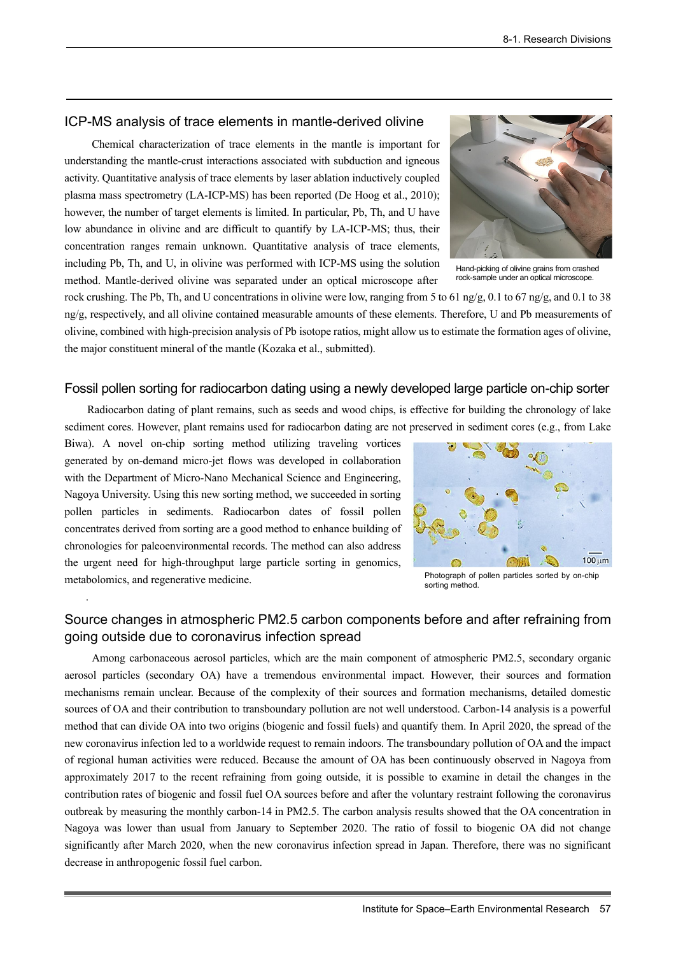## ICP-MS analysis of trace elements in mantle-derived olivine

Chemical characterization of trace elements in the mantle is important for understanding the mantle-crust interactions associated with subduction and igneous activity. Quantitative analysis of trace elements by laser ablation inductively coupled plasma mass spectrometry (LA-ICP-MS) has been reported (De Hoog et al., 2010); however, the number of target elements is limited. In particular, Pb, Th, and U have low abundance in olivine and are difficult to quantify by LA-ICP-MS; thus, their concentration ranges remain unknown. Quantitative analysis of trace elements, including Pb, Th, and U, in olivine was performed with ICP-MS using the solution method. Mantle-derived olivine was separated under an optical microscope after



Hand-picking of olivine grains from crashed rock-sample under an optical microscope.

rock crushing. The Pb, Th, and U concentrations in olivine were low, ranging from 5 to 61 ng/g, 0.1 to 67 ng/g, and 0.1 to 38 ng/g, respectively, and all olivine contained measurable amounts of these elements. Therefore, U and Pb measurements of olivine, combined with high-precision analysis of Pb isotope ratios, might allow us to estimate the formation ages of olivine, the major constituent mineral of the mantle (Kozaka et al., submitted).

## Fossil pollen sorting for radiocarbon dating using a newly developed large particle on-chip sorter

Radiocarbon dating of plant remains, such as seeds and wood chips, is effective for building the chronology of lake sediment cores. However, plant remains used for radiocarbon dating are not preserved in sediment cores (e.g., from Lake

Biwa). A novel on-chip sorting method utilizing traveling vortices generated by on-demand micro-jet flows was developed in collaboration with the Department of Micro-Nano Mechanical Science and Engineering, Nagoya University. Using this new sorting method, we succeeded in sorting pollen particles in sediments. Radiocarbon dates of fossil pollen concentrates derived from sorting are a good method to enhance building of chronologies for paleoenvironmental records. The method can also address the urgent need for high-throughput large particle sorting in genomics, metabolomics, and regenerative medicine.

.



Photograph of pollen particles sorted by on-chip sorting method.

# Source changes in atmospheric PM2.5 carbon components before and after refraining from going outside due to coronavirus infection spread

Among carbonaceous aerosol particles, which are the main component of atmospheric PM2.5, secondary organic aerosol particles (secondary OA) have a tremendous environmental impact. However, their sources and formation mechanisms remain unclear. Because of the complexity of their sources and formation mechanisms, detailed domestic sources of OA and their contribution to transboundary pollution are not well understood. Carbon-14 analysis is a powerful method that can divide OA into two origins (biogenic and fossil fuels) and quantify them. In April 2020, the spread of the new coronavirus infection led to a worldwide request to remain indoors. The transboundary pollution of OA and the impact of regional human activities were reduced. Because the amount of OA has been continuously observed in Nagoya from approximately 2017 to the recent refraining from going outside, it is possible to examine in detail the changes in the contribution rates of biogenic and fossil fuel OA sources before and after the voluntary restraint following the coronavirus outbreak by measuring the monthly carbon-14 in PM2.5. The carbon analysis results showed that the OA concentration in Nagoya was lower than usual from January to September 2020. The ratio of fossil to biogenic OA did not change significantly after March 2020, when the new coronavirus infection spread in Japan. Therefore, there was no significant decrease in anthropogenic fossil fuel carbon.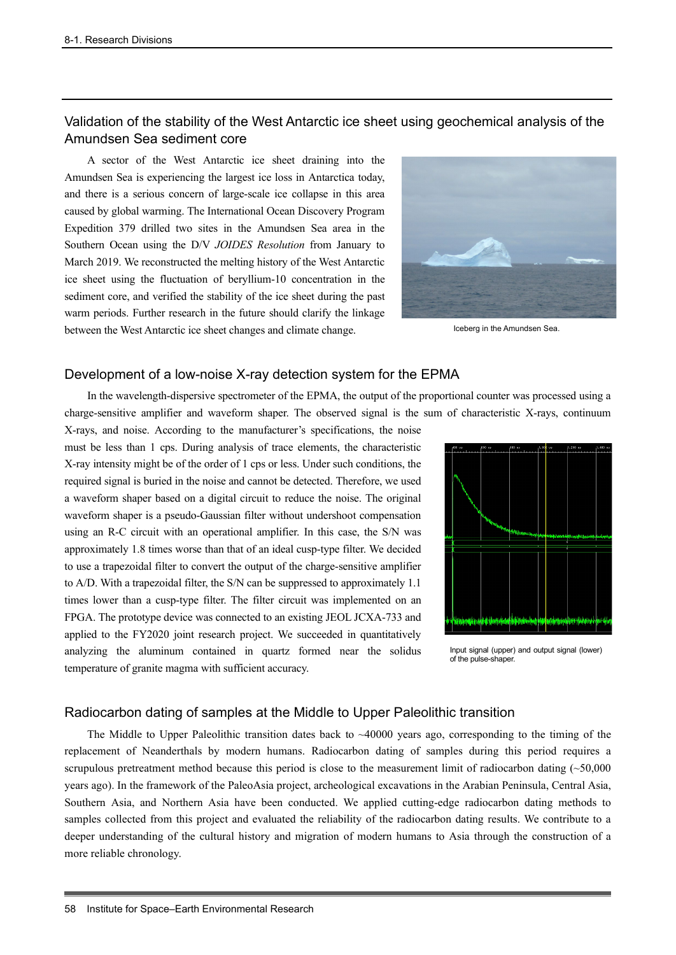# Validation of the stability of the West Antarctic ice sheet using geochemical analysis of the Amundsen Sea sediment core

A sector of the West Antarctic ice sheet draining into the Amundsen Sea is experiencing the largest ice loss in Antarctica today, and there is a serious concern of large-scale ice collapse in this area caused by global warming. The International Ocean Discovery Program Expedition 379 drilled two sites in the Amundsen Sea area in the Southern Ocean using the D/V *JOIDES Resolution* from January to March 2019. We reconstructed the melting history of the West Antarctic ice sheet using the fluctuation of beryllium-10 concentration in the sediment core, and verified the stability of the ice sheet during the past warm periods. Further research in the future should clarify the linkage between the West Antarctic ice sheet changes and climate change.



Iceberg in the Amundsen Sea.

#### Development of a low-noise X-ray detection system for the EPMA

In the wavelength-dispersive spectrometer of the EPMA, the output of the proportional counter was processed using a charge-sensitive amplifier and waveform shaper. The observed signal is the sum of characteristic X-rays, continuum

X-rays, and noise. According to the manufacturer's specifications, the noise must be less than 1 cps. During analysis of trace elements, the characteristic X-ray intensity might be of the order of 1 cps or less. Under such conditions, the required signal is buried in the noise and cannot be detected. Therefore, we used a waveform shaper based on a digital circuit to reduce the noise. The original waveform shaper is a pseudo-Gaussian filter without undershoot compensation using an R-C circuit with an operational amplifier. In this case, the S/N was approximately 1.8 times worse than that of an ideal cusp-type filter. We decided to use a trapezoidal filter to convert the output of the charge-sensitive amplifier to A/D. With a trapezoidal filter, the S/N can be suppressed to approximately 1.1 times lower than a cusp-type filter. The filter circuit was implemented on an FPGA. The prototype device was connected to an existing JEOL JCXA-733 and applied to the FY2020 joint research project. We succeeded in quantitatively analyzing the aluminum contained in quartz formed near the solidus temperature of granite magma with sufficient accuracy.



Input signal (upper) and output signal (lower) of the pulse-shaper.

#### Radiocarbon dating of samples at the Middle to Upper Paleolithic transition

The Middle to Upper Paleolithic transition dates back to ~40000 years ago, corresponding to the timing of the replacement of Neanderthals by modern humans. Radiocarbon dating of samples during this period requires a scrupulous pretreatment method because this period is close to the measurement limit of radiocarbon dating (~50,000 years ago). In the framework of the PaleoAsia project, archeological excavations in the Arabian Peninsula, Central Asia, Southern Asia, and Northern Asia have been conducted. We applied cutting-edge radiocarbon dating methods to samples collected from this project and evaluated the reliability of the radiocarbon dating results. We contribute to a deeper understanding of the cultural history and migration of modern humans to Asia through the construction of a more reliable chronology.